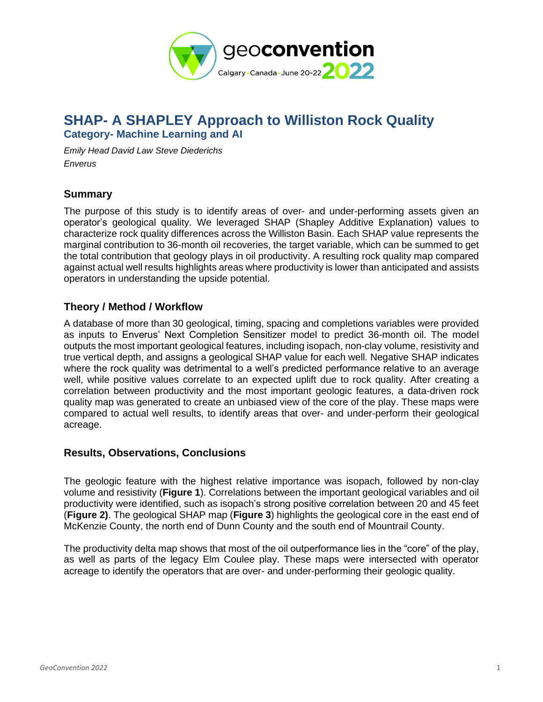

# **SHAP- A SHAPLEY Approach to Williston Rock Quality Category- Machine Learning and AI**

*Emily Head David Law Steve Diederichs Enverus*

## **Summary**

The purpose of this study is to identify areas of over- and under-performing assets given an operator's geological quality. We leveraged SHAP (Shapley Additive Explanation) values to characterize rock quality differences across the Williston Basin. Each SHAP value represents the marginal contribution to 36-month oil recoveries, the target variable, which can be summed to get the total contribution that geology plays in oil productivity. A resulting rock quality map compared against actual well results highlights areas where productivity is lower than anticipated and assists operators in understanding the upside potential.

## **Theory / Method / Workflow**

A database of more than 30 geological, timing, spacing and completions variables were provided as inputs to Enverus' Next Completion Sensitizer model to predict 36-month oil. The model outputs the most important geological features, including isopach, non-clay volume, resistivity and true vertical depth, and assigns a geological SHAP value for each well. Negative SHAP indicates where the rock quality was detrimental to a well's predicted performance relative to an average well, while positive values correlate to an expected uplift due to rock quality. After creating a correlation between productivity and the most important geologic features, a data-driven rock quality map was generated to create an unbiased view of the core of the play. These maps were compared to actual well results, to identify areas that over- and under-perform their geological acreage.

## **Results, Observations, Conclusions**

The geologic feature with the highest relative importance was isopach, followed by non-clay volume and resistivity (**Figure 1**). Correlations between the important geological variables and oil productivity were identified, such as isopach's strong positive correlation between 20 and 45 feet (**Figure 2)**. The geological SHAP map (**Figure 3**) highlights the geological core in the east end of McKenzie County, the north end of Dunn County and the south end of Mountrail County.

The productivity delta map shows that most of the oil outperformance lies in the "core" of the play, as well as parts of the legacy Elm Coulee play. These maps were intersected with operator acreage to identify the operators that are over- and under-performing their geologic quality.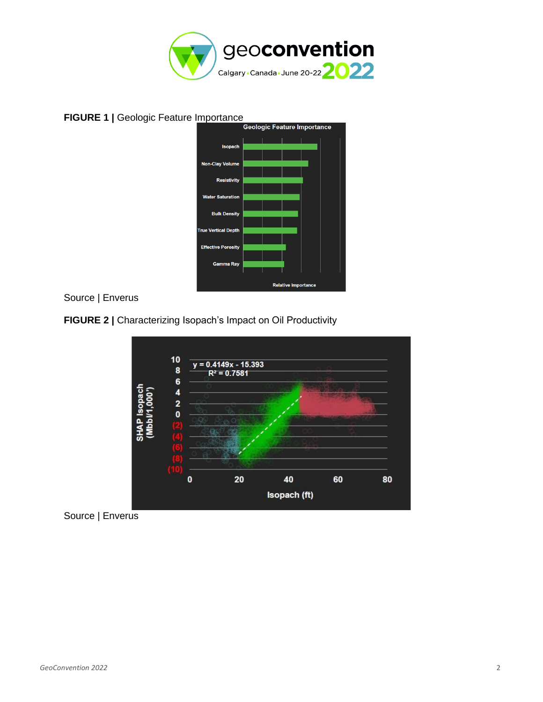

# **FIGURE 1 |** Geologic Feature Importance



### Source | Enverus

### **FIGURE 2 |** Characterizing Isopach's Impact on Oil Productivity



Source | Enverus